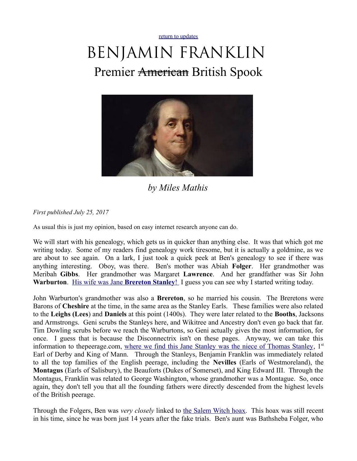[return to updates](http://mileswmathis.com/updates.html)

## BENJAMIN FRANKLIN Premier <del>American</del> British Spook



*by Miles Mathis*

*First published July 25, 2017*

As usual this is just my opinion, based on easy internet research anyone can do.

We will start with his genealogy, which gets us in quicker than anything else. It was that which got me writing today. Some of my readers find genealogy work tiresome, but it is actually a goldmine, as we are about to see again. On a lark, I just took a quick peek at Ben's genealogy to see if there was anything interesting. Oboy, was there. Ben's mother was Abiah **Folger**. Her grandmother was Meribah **Gibbs**. Her grandmother was Margaret **Lawrence**. And her grandfather was Sir John **Warburton.** [His wife was Jane](https://www.geni.com/people/Jane-Warburton/6000000042944289232) **[Brereton Stanley](https://www.geni.com/people/Jane-Warburton/6000000042944289232)**! I guess you can see why I started writing today.

John Warburton's grandmother was also a **Brereton**, so he married his cousin. The Breretons were Barons of **Cheshire** at the time, in the same area as the Stanley Earls. These families were also related to the **Leighs (Lees**) and **Daniels** at this point (1400s). They were later related to the **Booths**, Jacksons and Armstrongs. Geni scrubs the Stanleys here, and Wikitree and Ancestry don't even go back that far. Tim Dowling scrubs before we reach the Warburtons, so Geni actually gives the most information, for once. I guess that is because the Disconnectrix isn't on these pages. Anyway, we can take this information to thepeerage.com, [where we find this Jane Stanley was the niece of Thomas Stanley,](http://thepeerage.com/p20857.htm#i208566) 1<sup>st</sup> Earl of Derby and King of Mann. Through the Stanleys, Benjamin Franklin was immediately related to all the top families of the English peerage, including the **Nevilles** (Earls of Westmoreland), the **Montagus** (Earls of Salisbury), the Beauforts (Dukes of Somerset), and King Edward III. Through the Montagus, Franklin was related to George Washington, whose grandmother was a Montague. So, once again, they don't tell you that all the founding fathers were directly descended from the highest levels of the British peerage.

Through the Folgers, Ben was *very closely* linked to [the Salem Witch hoax.](http://mileswmathis.com/salem.pdf) This hoax was still recent in his time, since he was born just 14 years after the fake trials. Ben's aunt was Bathsheba Folger, who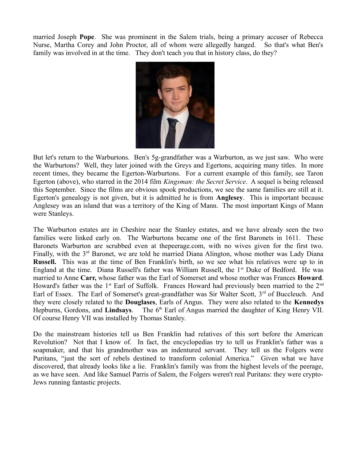married Joseph **Pope**. She was prominent in the Salem trials, being a primary accuser of Rebecca Nurse, Martha Corey and John Proctor, all of whom were allegedly hanged. So that's what Ben's family was involved in at the time. They don't teach you that in history class, do they?



But let's return to the Warburtons. Ben's 5g-grandfather was a Warburton, as we just saw. Who were the Warburtons? Well, they later joined with the Greys and Egertons, acquiring many titles. In more recent times, they became the Egerton-Warburtons. For a current example of this family, see Taron Egerton (above), who starred in the 2014 film *Kingsman: the Secret Service*. A sequel is being released this September. Since the films are obvious spook productions, we see the same families are still at it. Egerton's genealogy is not given, but it is admitted he is from **Anglesey**. This is important because Anglesey was an island that was a territory of the King of Mann. The most important Kings of Mann were Stanleys.

The Warburton estates are in Cheshire near the Stanley estates, and we have already seen the two families were linked early on. The Warburtons became one of the first Baronets in 1611. These Baronets Warburton are scrubbed even at thepeerage.com, with no wives given for the first two. Finally, with the  $3<sup>rd</sup>$  Baronet, we are told he married Diana Alington, whose mother was Lady Diana **Russell.** This was at the time of Ben Franklin's birth, so we see what his relatives were up to in England at the time. Diana Russell's father was William Russell, the 1<sup>st</sup> Duke of Bedford. He was married to Anne **Carr,** whose father was the Earl of Somerset and whose mother was Frances **Howard**. Howard's father was the  $1<sup>st</sup>$  Earl of Suffolk. Frances Howard had previously been married to the  $2<sup>nd</sup>$ Earl of Essex. The Earl of Somerset's great-grandfather was Sir Walter Scott, 3<sup>rd</sup> of Buccleuch. And they were closely related to the **Douglases**, Earls of Angus. They were also related to the **Kennedys** Hepburns, Gordons, and **Lindsays**. The 6<sup>th</sup> Earl of Angus married the daughter of King Henry VII. Of course Henry VII was installed by Thomas Stanley.

Do the mainstream histories tell us Ben Franklin had relatives of this sort before the American Revolution? Not that I know of. In fact, the encyclopedias try to tell us Franklin's father was a soapmaker, and that his grandmother was an indentured servant. They tell us the Folgers were Puritans, "just the sort of rebels destined to transform colonial America." Given what we have discovered, that already looks like a lie. Franklin's family was from the highest levels of the peerage, as we have seen. And like Samuel Parris of Salem, the Folgers weren't real Puritans: they were crypto-Jews running fantastic projects.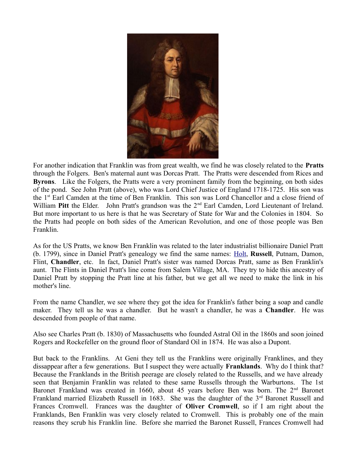

For another indication that Franklin was from great wealth, we find he was closely related to the **Pratts** through the Folgers. Ben's maternal aunt was Dorcas Pratt. The Pratts were descended from Rices and **Byrons**. Like the Folgers, the Pratts were a very prominent family from the beginning, on both sides of the pond. See John Pratt (above), who was Lord Chief Justice of England 1718-1725. His son was the 1st Earl Camden at the time of Ben Franklin. This son was Lord Chancellor and a close friend of William Pitt the Elder. John Pratt's grandson was the 2<sup>nd</sup> Earl Camden, Lord Lieutenant of Ireland. But more important to us here is that he was Secretary of State for War and the Colonies in 1804. So the Pratts had people on both sides of the American Revolution, and one of those people was Ben Franklin.

As for the US Pratts, we know Ben Franklin was related to the later industrialist billionaire Daniel Pratt (b. 1799), since in Daniel Pratt's genealogy we find the same names: [Holt,](https://www.geni.com/people/Elizabeth-Lawrence/5633739018380036728) **Russell**, Putnam, Damon, Flint, **Chandler**, etc. In fact, Daniel Pratt's sister was named Dorcas Pratt, same as Ben Franklin's aunt. The Flints in Daniel Pratt's line come from Salem Village, MA. They try to hide this ancestry of Daniel Pratt by stopping the Pratt line at his father, but we get all we need to make the link in his mother's line.

From the name Chandler, we see where they got the idea for Franklin's father being a soap and candle maker. They tell us he was a chandler. But he wasn't a chandler, he was a **Chandler**. He was descended from people of that name.

Also see Charles Pratt (b. 1830) of Massachusetts who founded Astral Oil in the 1860s and soon joined Rogers and Rockefeller on the ground floor of Standard Oil in 1874. He was also a Dupont.

But back to the Franklins. At Geni they tell us the Franklins were originally Franklines, and they dissappear after a few generations. But I suspect they were actually **Franklands**. Why do I think that? Because the Franklands in the British peerage are closely related to the Russells, and we have already seen that Benjamin Franklin was related to these same Russells through the Warburtons. The 1st Baronet Frankland was created in 1660, about 45 years before Ben was born. The 2<sup>nd</sup> Baronet Frankland married Elizabeth Russell in 1683. She was the daughter of the 3<sup>rd</sup> Baronet Russell and Frances Cromwell. Frances was the daughter of **Oliver Cromwell**, so if I am right about the Franklands, Ben Franklin was very closely related to Cromwell. This is probably one of the main reasons they scrub his Franklin line. Before she married the Baronet Russell, Frances Cromwell had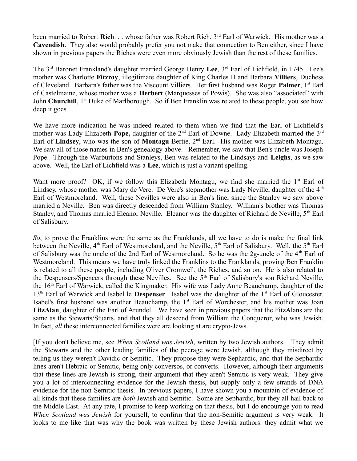been married to Robert **Rich**. . . whose father was Robert Rich, 3<sup>rd</sup> Earl of Warwick. His mother was a **Cavendish**. They also would probably prefer you not make that connection to Ben either, since I have shown in previous papers the Riches were even more obviously Jewish than the rest of these families.

The 3rd Baronet Frankland's daughter married George Henry **Lee**, 3rd Earl of Lichfield, in 1745. Lee's mother was Charlotte **Fitzroy**, illegitimate daughter of King Charles II and Barbara **Villiers**, Duchess of Cleveland. Barbara's father was the Viscount Villiers. Her first husband was Roger **Palmer**, 1st Earl of Castelmaine, whose mother was a **Herbert** (Marquesses of Powis). She was also "associated" with John **Churchill**, 1<sup>st</sup> Duke of Marlborough. So if Ben Franklin was related to these people, you see how deep it goes.

We have more indication he was indeed related to them when we find that the Earl of Lichfield's mother was Lady Elizabeth **Pope,** daughter of the 2<sup>nd</sup> Earl of Downe. Lady Elizabeth married the 3<sup>rd</sup> Earl of **Lindsey**, who was the son of **Montagu** Bertie, 2nd Earl. His mother was Elizabeth Montagu. We saw all of those names in Ben's genealogy above. Remember, we saw that Ben's uncle was Joseph Pope. Through the Warburtons and Stanleys, Ben was related to the Lindsays and **Leighs**, as we saw above. Well, the Earl of Lichfield was a **Lee**, which is just a variant spelling.

Want more proof? OK, if we follow this Elizabeth Montagu, we find she married the  $1<sup>st</sup>$  Earl of Lindsey, whose mother was Mary de Vere. De Vere's stepmother was Lady Neville, daughter of the  $4<sup>th</sup>$ Earl of Westmoreland. Well, these Nevilles were also in Ben's line, since the Stanley we saw above married a Neville. Ben was directly descended from William Stanley. William's brother was Thomas Stanley, and Thomas married Eleanor Neville. Eleanor was the daughter of Richard de Neville, 5<sup>th</sup> Earl of Salisbury.

*So*, to prove the Franklins were the same as the Franklands, all we have to do is make the final link between the Neville, 4<sup>th</sup> Earl of Westmoreland, and the Neville, 5<sup>th</sup> Earl of Salisbury. Well, the 5<sup>th</sup> Earl of Salisbury was the uncle of the 2nd Earl of Westmoreland. So he was the 2g-uncle of the  $4<sup>th</sup>$  Earl of Westmoreland. This means we have truly linked the Franklins to the Franklands, proving Ben Franklin is related to all these people, including Oliver Cromwell, the Riches, and so on. He is also related to the Despensers/Spencers through these Nevilles. See the 5<sup>th</sup> Earl of Salisbury's son Richard Neville, the 16th Earl of Warwick, called the Kingmaker. His wife was Lady Anne Beauchamp, daughter of the 13<sup>th</sup> Earl of Warwick and Isabel le **Despenser**. Isabel was the daughter of the 1<sup>st</sup> Earl of Gloucester. Isabel's first husband was another Beauchamp, the  $1<sup>st</sup>$  Earl of Worchester, and his mother was Joan **FitzAlan**, daughter of the Earl of Arundel. We have seen in previous papers that the FitzAlans are the same as the Stewarts/Stuarts, and that they all descend from William the Conqueror, who was Jewish. In fact, *all* these interconnected families were are looking at are crypto-Jews.

[If you don't believe me, see *When Scotland was Jewish*, written by two Jewish authors. They admit the Stewarts and the other leading families of the peerage were Jewish, although they misdirect by telling us they weren't Davidic or Semitic. They propose they were Sephardic, and that the Sephardic lines aren't Hebraic or Semitic, being only conversos, or converts. However, although their arguments that these lines are Jewish is strong, their argument that they aren't Semitic is very weak. They give you a lot of interconnecting evidence for the Jewish thesis, but supply only a few strands of DNA evidence for the non-Semitic thesis. In previous papers, I have shown you a mountain of evidence of all kinds that these families are *both* Jewish and Semitic. Some are Sephardic, but they all hail back to the Middle East. At any rate, I promise to keep working on that thesis, but I do encourage you to read *When Scotland was Jewish* for yourself, to confirm that the non-Semitic argument is very weak. It looks to me like that was why the book was written by these Jewish authors: they admit what we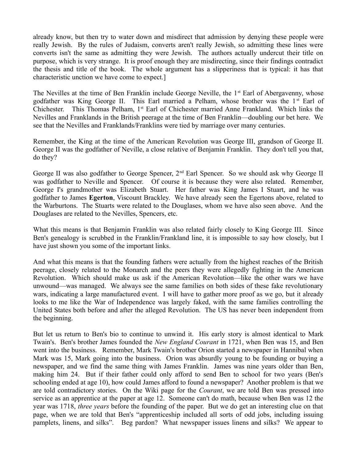already know, but then try to water down and misdirect that admission by denying these people were really Jewish. By the rules of Judaism, converts aren't really Jewish, so admitting these lines were converts isn't the same as admitting they were Jewish. The authors actually undercut their title on purpose, which is very strange. It is proof enough they are misdirecting, since their findings contradict the thesis and title of the book. The whole argument has a slipperiness that is typical: it has that characteristic unction we have come to expect.]

The Nevilles at the time of Ben Franklin include George Neville, the 1<sup>st</sup> Earl of Abergavenny, whose godfather was King George II. This Earl married a Pelham, whose brother was the  $1<sup>st</sup>$  Earl of Chichester. This Thomas Pelham, 1<sup>st</sup> Earl of Chichester married Anne Frankland. Which links the Nevilles and Franklands in the British peerage at the time of Ben Franklin—doubling our bet here. We see that the Nevilles and Franklands/Franklins were tied by marriage over many centuries.

Remember, the King at the time of the American Revolution was George III, grandson of George II. George II was the godfather of Neville, a close relative of Benjamin Franklin. They don't tell you that, do they?

George II was also godfather to George Spencer, 2nd Earl Spencer. So we should ask why George II was godfather to Neville and Spencer. Of course it is because they were also related. Remember, George I's grandmother was Elizabeth Stuart. Her father was King James I Stuart, and he was godfather to James **Egerton**, Viscount Brackley. We have already seen the Egertons above, related to the Warburtons. The Stuarts were related to the Douglases, whom we have also seen above. And the Douglases are related to the Nevilles, Spencers, etc.

What this means is that Benjamin Franklin was also related fairly closely to King George III. Since Ben's genealogy is scrubbed in the Franklin/Frankland line, it is impossible to say how closely, but I have just shown you some of the important links.

And what this means is that the founding fathers were actually from the highest reaches of the British peerage, closely related to the Monarch and the peers they were allegedly fighting in the American Revolution. Which should make us ask if the American Revolution—like the other wars we have unwound—was managed. We always see the same families on both sides of these fake revolutionary wars, indicating a large manufactured event. I will have to gather more proof as we go, but it already looks to me like the War of Independence was largely faked, with the same families controlling the United States both before and after the alleged Revolution. The US has never been independent from the beginning.

But let us return to Ben's bio to continue to unwind it. His early story is almost identical to Mark Twain's. Ben's brother James founded the *New England Courant* in 1721, when Ben was 15, and Ben went into the business. Remember, Mark Twain's brother Orion started a newspaper in Hannibal when Mark was 15, Mark going into the business. Orion was absurdly young to be founding or buying a newspaper, and we find the same thing with James Franklin. James was nine years older than Ben, making him 24. But if their father could only afford to send Ben to school for two years (Ben's schooling ended at age 10), how could James afford to found a newspaper? Another problem is that we are told contradictory stories. On the Wiki page for the *Courant*, we are told Ben was pressed into service as an apprentice at the paper at age 12. Someone can't do math, because when Ben was 12 the year was 1718, *three years* before the founding of the paper. But we do get an interesting clue on that page, when we are told that Ben's "apprenticeship included all sorts of odd jobs, including issuing pamplets, linens, and silks". Beg pardon? What newspaper issues linens and silks? We appear to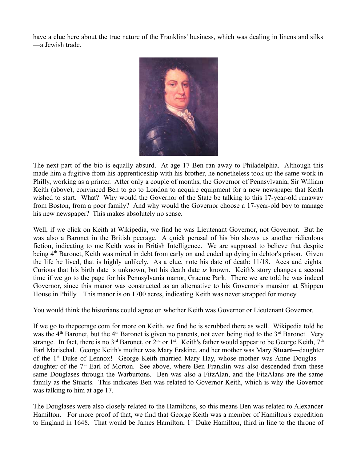have a clue here about the true nature of the Franklins' business, which was dealing in linens and silks —a Jewish trade.



The next part of the bio is equally absurd. At age 17 Ben ran away to Philadelphia. Although this made him a fugitive from his apprenticeship with his brother, he nonetheless took up the same work in Philly, working as a printer. After only a couple of months, the Governor of Pennsylvania, Sir William Keith (above), convinced Ben to go to London to acquire equipment for a new newspaper that Keith wished to start. What? Why would the Governor of the State be talking to this 17-year-old runaway from Boston, from a poor family? And why would the Governor choose a 17-year-old boy to manage his new newspaper? This makes absolutely no sense.

Well, if we click on Keith at Wikipedia, we find he was Lieutenant Governor, not Governor. But he was also a Baronet in the British peerage. A quick perusal of his bio shows us another ridiculous fiction, indicating to me Keith was in British Intelligence. We are supposed to believe that despite being 4<sup>th</sup> Baronet, Keith was mired in debt from early on and ended up dying in debtor's prison. Given the life he lived, that is highly unlikely. As a clue, note his date of death: 11/18. Aces and eights. Curious that his birth date is unknown, but his death date *is* known. Keith's story changes a second time if we go to the page for his Pennsylvania manor, Graeme Park. There we are told he was indeed Governor, since this manor was constructed as an alternative to his Governor's mansion at Shippen House in Philly. This manor is on 1700 acres, indicating Keith was never strapped for money.

You would think the historians could agree on whether Keith was Governor or Lieutenant Governor.

If we go to thepeerage.com for more on Keith, we find he is scrubbed there as well. Wikipedia told he was the  $4<sup>th</sup>$  Baronet, but the  $4<sup>th</sup>$  Baronet is given no parents, not even being tied to the  $3<sup>rd</sup>$  Baronet. Very strange. In fact, there is no 3<sup>rd</sup> Baronet, or  $2^{nd}$  or 1<sup>st</sup>. Keith's father would appear to be George Keith, 7<sup>th</sup> Earl Marischal. George Keith's mother was Mary Erskine, and her mother was Mary **Stuart**—daughter of the 1<sup>st</sup> Duke of Lennox! George Keith married Mary Hay, whose mother was Anne Douglas daughter of the  $7<sup>th</sup>$  Earl of Morton. See above, where Ben Franklin was also descended from these same Douglases through the Warburtons. Ben was also a FitzAlan, and the FitzAlans are the same family as the Stuarts. This indicates Ben was related to Governor Keith, which is why the Governor was talking to him at age 17.

The Douglases were also closely related to the Hamiltons, so this means Ben was related to Alexander Hamilton. For more proof of that, we find that George Keith was a member of Hamilton's expedition to England in 1648. That would be James Hamilton,  $1<sup>st</sup>$  Duke Hamilton, third in line to the throne of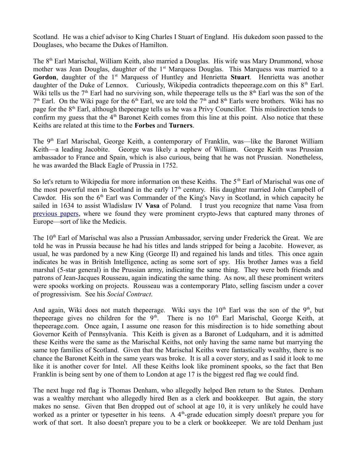Scotland. He was a chief advisor to King Charles I Stuart of England. His dukedom soon passed to the Douglases, who became the Dukes of Hamilton.

The 8<sup>th</sup> Earl Marischal, William Keith, also married a Douglas. His wife was Mary Drummond, whose mother was Jean Douglas, daughter of the  $1<sup>st</sup>$  Marquess Douglas. This Marquess was married to a Gordon, daughter of the 1<sup>st</sup> Marquess of Huntley and Henrietta Stuart. Henrietta was another daughter of the Duke of Lennox. Curiously, Wikipedia contradicts the peerage.com on this  $8<sup>th</sup>$  Earl. Wiki tells us the  $7<sup>th</sup>$  Earl had no surviving son, while thepeerage tells us the  $8<sup>th</sup>$  Earl was the son of the  $7<sup>th</sup>$  Earl. On the Wiki page for the 6<sup>th</sup> Earl, we are told the 7<sup>th</sup> and 8<sup>th</sup> Earls were brothers. Wiki has no page for the 8th Earl, although thepeerage tells us he was a Privy Councillor. This misdirection tends to confirm my guess that the  $4<sup>th</sup>$  Baronet Keith comes from this line at this point. Also notice that these Keiths are related at this time to the **Forbes** and **Turners**.

The 9<sup>th</sup> Earl Marischal, George Keith, a contemporary of Franklin, was—like the Baronet William Keith—a leading Jacobite. George was likely a nephew of William. George Keith was Prussian ambassador to France and Spain, which is also curious, being that he was not Prussian. Nonetheless, he was awarded the Black Eagle of Prussia in 1752.

So let's return to Wikipedia for more information on these Keiths. The 5<sup>th</sup> Earl of Marischal was one of the most powerful men in Scotland in the early  $17<sup>th</sup>$  century. His daughter married John Campbell of Cawdor. His son the  $6<sup>th</sup>$  Earl was Commander of the King's Navy in Scotland, in which capacity he sailed in 1634 to assist Wladislaw IV **Vasa** of Poland. I trust you recognize that name Vasa from [previous papers,](http://mileswmathis.com/napoleon.pdf) where we found they were prominent crypto-Jews that captured many thrones of Europe—sort of like the Medicis.

The 10<sup>th</sup> Earl of Marischal was also a Prussian Ambassador, serving under Frederick the Great. We are told he was in Prussia because he had his titles and lands stripped for being a Jacobite. However, as usual, he was pardoned by a new King (George II) and regained his lands and titles. This once again indicates he was in British Intelligence, acting as some sort of spy. His brother James was a field marshal (5-star general) in the Prussian army, indicating the same thing. They were both friends and patrons of Jean-Jacques Rousseau, again indicating the same thing. As now, all these prominent writers were spooks working on projects. Rousseau was a contemporary Plato, selling fascism under a cover of progressivism. See his *Social Contract*.

And again, Wiki does not match thepeerage. Wiki says the  $10<sup>th</sup>$  Earl was the son of the 9<sup>th</sup>, but thepeerage gives no children for the  $9<sup>th</sup>$ . There is no  $10<sup>th</sup>$  Earl Marischal, George Keith, at thepeerage.com. Once again, I assume one reason for this misdirection is to hide something about Governor Keith of Pennsylvania. This Keith is given as a Baronet of Ludquharn, and it is admitted these Keiths were the same as the Marischal Keiths, not only having the same name but marrying the same top families of Scotland. Given that the Marischal Keiths were fantastically wealthy, there is no chance the Baronet Keith in the same years was broke. It is all a cover story, and as I said it look to me like it is another cover for Intel. All these Keiths look like prominent spooks, so the fact that Ben Franklin is being sent by one of them to London at age 17 is the biggest red flag we could find.

The next huge red flag is Thomas Denham, who allegedly helped Ben return to the States. Denham was a wealthy merchant who allegedly hired Ben as a clerk and bookkeeper. But again, the story makes no sense. Given that Ben dropped out of school at age 10, it is very unlikely he could have worked as a printer or typesetter in his teens. A 4<sup>th</sup>-grade education simply doesn't prepare you for work of that sort. It also doesn't prepare you to be a clerk or bookkeeper. We are told Denham just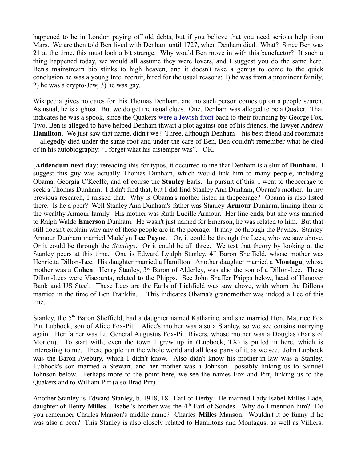happened to be in London paying off old debts, but if you believe that you need serious help from Mars. We are then told Ben lived with Denham until 1727, when Denham died. What? Since Ben was 21 at the time, this must look a bit strange. Why would Ben move in with this benefactor? If such a thing happened today, we would all assume they were lovers, and I suggest you do the same here. Ben's mainstream bio stinks to high heaven, and it doesn't take a genius to come to the quick conclusion he was a young Intel recruit, hired for the usual reasons: 1) he was from a prominent family, 2) he was a crypto-Jew, 3) he was gay.

Wikipedia gives no dates for this Thomas Denham, and no such person comes up on a people search. As usual, he is a ghost. But we do get the usual clues. One, Denham was alleged to be a Quaker. That indicates he was a spook, since the Quakers [were a Jewish front](http://mileswmathis.com/fox.pdf) back to their founding by George Fox. Two, Ben is alleged to have helped Denham thwart a plot against one of his friends, the lawyer Andrew **Hamilton**. We just saw that name, didn't we? Three, although Denham—his best friend and roommate —allegedly died under the same roof and under the care of Ben, Ben couldn't remember what he died of in his autobiography: "I forget what his distemper was". OK.

[**Addendum next day**: rereading this for typos, it occurred to me that Denham is a slur of **Dunham.** I suggest this guy was actually Thomas Dunham, which would link him to many people, including Obama, Georgia O'Keeffe, and of course the **Stanley** Earls. In pursuit of this, I went to thepeerage to seek a Thomas Dunham. I didn't find that, but I did find Stanley Ann Dunham, Obama's mother. In my previous research, I missed that. Why is Obama's mother listed in thepeerage? Obama is also listed there. Is he a peer? Well Stanley Ann Dunham's father was Stanley **Armour** Dunham, linking them to the wealthy Armour family. His mother was Ruth Lucille Armour. Her line ends, but she was married to Ralph Waldo **Emerson** Dunham. He wasn't just named for Emerson, he was related to him. But that still doesn't explain why any of these people are in the peerage. It may be through the Paynes. Stanley Armour Dunham married Madelyn **Lee Payne**. Or, it could be through the Lees, who we saw above. Or it could be through the *Stanleys*. Or it could be all three. We test that theory by looking at the Stanley peers at this time. One is Edward Lyulph Stanley, 4<sup>th</sup> Baron Sheffield, whose mother was Henrietta Dillon-**Lee**. His daughter married a Hamilton. Another daughter married a **Montagu**, whose mother was a **Cohen**. Henry Stanley, 3<sup>rd</sup> Baron of Alderley, was also the son of a Dillon-Lee. These Dillon-Lees were Viscounts, related to the Phipps. See John Shaffer Phipps below, head of Hanover Bank and US Steel. These Lees are the Earls of Lichfield was saw above, with whom the Dillons married in the time of Ben Franklin. This indicates Obama's grandmother was indeed a Lee of this line.

Stanley, the 5<sup>th</sup> Baron Sheffield, had a daughter named Katharine, and she married Hon. Maurice Fox Pitt Lubbock, son of Alice Fox-Pitt. Alice's mother was also a Stanley, so we see cousins marrying again. Her father was Lt. General Augustus Fox-Pitt Rivers, whose mother was a Douglas (Earls of Morton). To start with, even the town I grew up in (Lubbock, TX) is pulled in here, which is interesting to me. These people run the whole world and all least parts of it, as we see. John Lubbock was the Baron Avebury, which I didn't know. Also didn't know his mother-in-law was a Stanley. Lubbock's son married a Stewart, and her mother was a Johnson—possibly linking us to Samuel Johnson below. Perhaps more to the point here, we see the names Fox and Pitt, linking us to the Quakers and to William Pitt (also Brad Pitt).

Another Stanley is Edward Stanley, b. 1918, 18<sup>th</sup> Earl of Derby. He married Lady Isabel Milles-Lade, daughter of Henry **Milles**. Isabel's brother was the 4<sup>th</sup> Earl of Sondes. Why do I mention him? Do you remember Charles Manson's middle name? Charles **Milles** Manson. Wouldn't it be funny if he was also a peer? This Stanley is also closely related to Hamiltons and Montagus, as well as Villiers.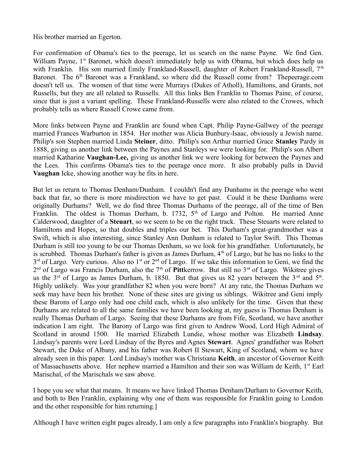His brother married an Egerton.

For confirmation of Obama's ties to the peerage, let us search on the name Payne. We find Gen. William Payne, 1<sup>st</sup> Baronet, which doesn't immediately help us with Obama, but which does help us with Franklin. His son married Emily Frankland-Russell, daughter of Robert Frankland-Russell,  $7<sup>th</sup>$ Baronet. The  $6<sup>th</sup>$  Baronet was a Frankland, so where did the Russell come from? Thepeerage.com doesn't tell us. The women of that time were Murrays (Dukes of Atholl), Hamiltons, and Grants, not Russells, but they are all related to Russells. All this links Ben Franklin to Thomas Paine, of course, since that is just a variant spelling. These Frankland-Russells were also related to the Crowes, which probably tells us where Russell Crowe came from.

More links between Payne and Franklin are found when Capt. Philip Payne-Gallwey of the peerage married Frances Warburton in 1854. Her mother was Alicia Bunbury-Isaac, obviously a Jewish name. Philip's son Stephen married Linda **Steiner**, ditto. Philip's son Arthur married Grace **Stanley** Pardy in 1888, giving us another link between the Paynes and Stanleys we were looking for. Philip's son Albert married Katharine **Vaughan-Lee,** giving us another link we were looking for between the Paynes and the Lees. This confirms Obama's ties to the peerage once more. It also probably pulls in David **Vaughan** Icke, showing another way he fits in here.

But let us return to Thomas Denham/Dunham. I couldn't find any Dunhams in the peerage who went back that far, so there is more misdirection we have to get past. Could it be these Dunhams were originally Durhams? Well, we do find three Thomas Durhams of the peerage, all of the time of Ben Franklin. The oldest is Thomas Durham, b. 1732,  $5<sup>th</sup>$  of Largo and Polton. He married Anne Calderwood, daughter of a **Steuart**, so we seem to be on the right track. These Steuarts were related to Hamiltons and Hopes, so that doubles and triples our bet. This Durham's great-grandmother was a Swift, which is also interesting, since Stanley Ann Dunham is related to Taylor Swift. This Thomas Durham is still too young to be our Thomas Denham, so we look for his grandfather. Unfortunately, he is scrubbed. Thomas Durham's father is given as James Durham,  $4<sup>th</sup>$  of Largo, but he has no links to the  $3<sup>rd</sup>$  of Largo. Very curious. Also no 1<sup>st</sup> or  $2<sup>nd</sup>$  of Largo. If we take this information to Geni, we find the 2<sup>nd</sup> of Largo was Francis Durham, also the 7<sup>th</sup> of **Pitt**kerrow. But still no 3<sup>rd</sup> of Largo. Wikitree gives us the  $3<sup>rd</sup>$  of Largo as James Durham, b. 1850. But that gives us 82 years between the  $3<sup>rd</sup>$  and  $5<sup>th</sup>$ . Highly unlikely. Was your grandfather 82 when you were born? At any rate, the Thomas Durham we seek may have been his brother. None of these sites are giving us siblings. Wikitree and Geni imply these Barons of Largo only had one child each, which is also unlikely for the time. Given that these Durhams are related to all the same families we have been looking at, my guess is Thomas Denham is really Thomas Durham of Largo. Seeing that these Durhams are from Fife, Scotland, we have another indication I am right. The Barony of Largo was first given to Andrew Wood, Lord High Admiral of Scotland in around 1500. He married Elizabeth Lundie, whose mother was Elizabeth **Lindsay**. Lindsay's parents were Lord Lindsay of the Byres and Agnes **Stewart**. Agnes' grandfather was Robert Stewart, the Duke of Albany, and his father was Robert II Stewart, King of Scotland, whom we have already seen in this paper. Lord Lindsay's mother was Christiana **Keith**, an ancestor of Governor Keith of Massachusetts above. Her nephew married a Hamilton and their son was William de Keith, 1<sup>st</sup> Earl Marischal, of the Marischals we saw above.

I hope you see what that means. It means we have linked Thomas Denham/Durham to Governor Keith, and both to Ben Franklin, explaining why one of them was responsible for Franklin going to London and the other responsible for him returning.]

Although I have written eight pages already, I am only a few paragraphs into Franklin's biography. But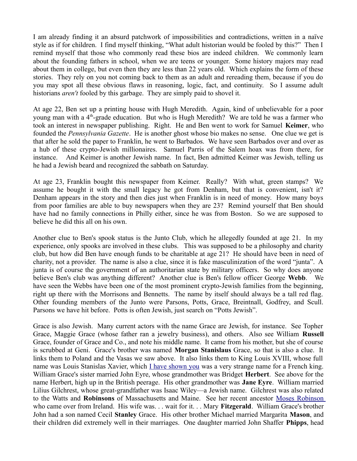I am already finding it an absurd patchwork of impossibilities and contradictions, written in a naïve style as if for children. I find myself thinking, "What adult historian would be fooled by this?" Then I remind myself that those who commonly read these bios are indeed children. We commonly learn about the founding fathers in school, when we are teens or younger. Some history majors may read about them in college, but even then they are less than 22 years old. Which explains the form of these stories. They rely on you not coming back to them as an adult and rereading them, because if you do you may spot all these obvious flaws in reasoning, logic, fact, and continuity. So I assume adult historians *aren't* fooled by this garbage. They are simply paid to shovel it.

At age 22, Ben set up a printing house with Hugh Meredith. Again, kind of unbelievable for a poor young man with a  $4<sup>th</sup>$ -grade education. But who is Hugh Meredith? We are told he was a farmer who took an interest in newspaper publishing. Right. He and Ben went to work for Samuel **Keimer**, who founded the *Pennsylvania Gazette*. He is another ghost whose bio makes no sense. One clue we get is that after he sold the paper to Franklin, he went to Barbados. We have seen Barbados over and over as a hub of these crypto-Jewish millionaires. Samuel Parris of the Salem hoax was from there, for instance. And Keimer is another Jewish name. In fact, Ben admitted Keimer was Jewish, telling us he had a Jewish beard and recognized the sabbath on Saturday.

At age 23, Franklin bought this newspaper from Keimer. Really? With what, green stamps? We assume he bought it with the small legacy he got from Denham, but that is convenient, isn't it? Denham appears in the story and then dies just when Franklin is in need of money. How many boys from poor families are able to buy newspapers when they are 23? Remind yourself that Ben should have had no family connections in Philly either, since he was from Boston. So we are supposed to believe he did this all on his own.

Another clue to Ben's spook status is the Junto Club, which he allegedly founded at age 21. In my experience, only spooks are involved in these clubs. This was supposed to be a philosophy and charity club, but how did Ben have enough funds to be charitable at age 21? He should have been in need of charity, not a provider. The name is also a clue, since it is fake masculinization of the word "junta". A junta is of course the government of an authoritarian state by military officers. So why does anyone believe Ben's club was anything different? Another clue is Ben's fellow officer George **Webb**. We have seen the Webbs have been one of the most prominent crypto-Jewish families from the beginning, right up there with the Morrisons and Bennetts. The name by itself should always be a tall red flag. Other founding members of the Junto were Parsons, Potts, Grace, Breintnall, Godfrey, and Scull. Parsons we have hit before. Potts is often Jewish, just search on "Potts Jewish".

Grace is also Jewish. Many current actors with the name Grace are Jewish, for instance. See Topher Grace, Maggie Grace (whose father ran a jewelry business), and others. Also see William **Russell** Grace, founder of Grace and Co., and note his middle name. It came from his mother, but she of course is scrubbed at Geni. Grace's brother was named **Morgan Stanislaus** Grace, so that is also a clue. It links them to Poland and the Vasas we saw above. It also links them to King Louis XVIII, whose full name was Louis Stanislas Xavier, which [I have shown you](http://mileswmathis.com/frev.pdf) was a very strange name for a French king. William Grace's sister married John Eyre, whose grandmother was Bridget **Herbert**. See above for the name Herbert, high up in the British peerage. His other grandmother was **Jane Eyre**. William married Lilius Gilchrest, whose great-grandfather was Isaac Wiley—a Jewish name. Gilchrest was also related to the Watts and **Robinsons** of Massachusetts and Maine. See her recent ancestor [Moses Robinson](https://www.geni.com/people/Mary-Robinson/6000000009110984568) who came over from Ireland. His wife was. . . wait for it. . . Mary **Fitzgerald**. William Grace's brother John had a son named Cecil **Stanley** Grace. His other brother Michael married Margarita **Mason**, and their children did extremely well in their marriages. One daughter married John Shaffer **Phipps**, head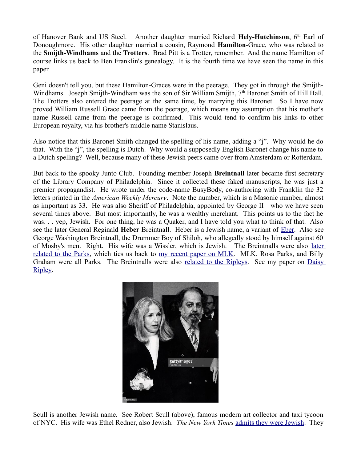of Hanover Bank and US Steel. Another daughter married Richard Hely-Hutchinson, 6<sup>th</sup> Earl of Donoughmore. His other daughter married a cousin, Raymond **Hamilton**-Grace, who was related to the **Smijth-Windhams** and the **Trotters**. Brad Pitt is a Trotter, remember. And the name Hamilton of course links us back to Ben Franklin's genealogy. It is the fourth time we have seen the name in this paper.

Geni doesn't tell you, but these Hamilton-Graces were in the peerage. They got in through the Smijth-Windhams. Joseph Smijth-Windham was the son of Sir William Smijth, 7<sup>th</sup> Baronet Smith of Hill Hall. The Trotters also entered the peerage at the same time, by marrying this Baronet. So I have now proved William Russell Grace came from the peerage, which means my assumption that his mother's name Russell came from the peerage is confirmed. This would tend to confirm his links to other European royalty, via his brother's middle name Stanislaus.

Also notice that this Baronet Smith changed the spelling of his name, adding a "j". Why would he do that. With the "j", the spelling is Dutch. Why would a supposedly English Baronet change his name to a Dutch spelling? Well, because many of these Jewish peers came over from Amsterdam or Rotterdam.

But back to the spooky Junto Club. Founding member Joseph **Breintnall** later became first secretary of the Library Company of Philadelphia. Since it collected these faked manuscripts, he was just a premier propagandist. He wrote under the code-name BusyBody, co-authoring with Franklin the 32 letters printed in the *American Weekly Mercury*. Note the number, which is a Masonic number, almost as important as 33. He was also Sheriff of Philadelphia, appointed by George II—who we have seen several times above. But most importantly, he was a wealthy merchant. This points us to the fact he was. . . yep, Jewish. For one thing, he was a Quaker, and I have told you what to think of that. Also see the later General Reginald **Heber** Breintnall. Heber is a Jewish name, a variant of [Eber.](https://en.wikipedia.org/wiki/Eber) Also see George Washington Breintnall, the Drummer Boy of Shiloh, who allegedly stood by himself against 60 of Mosby's men. Right. His wife was a Wissler, which is Jewish. The Breintnalls were also [later](https://www.findagrave.com/cgi-bin/fg.cgi?page=gr&GRid=132622521) [related to the Parks,](https://www.findagrave.com/cgi-bin/fg.cgi?page=gr&GRid=132622521) which ties us back to [my recent paper on MLK.](http://mileswmathis.com/mlk.pdf) MLK, Rosa Parks, and Billy Graham were all Parks. The Breintnalls were also [related to the Ripleys.](https://findagrave.com/cgi-bin/fg.cgi/Public%20Health%20Museums%3C/fg.cgi?page=gr&GRid=17926455) See my paper on [Daisy](http://mileswmathis.com/daisy.pdf) [Ripley.](http://mileswmathis.com/daisy.pdf)



Scull is another Jewish name. See Robert Scull (above), famous modern art collector and taxi tycoon of NYC. His wife was Ethel Redner, also Jewish. *The New York Times* [admits they were Jewish.](http://www.nytimes.com/2010/04/10/arts/design/10scull.html) They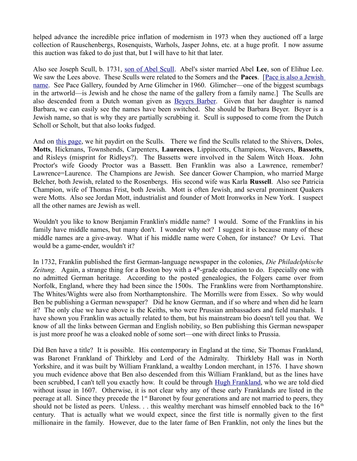helped advance the incredible price inflation of modernism in 1973 when they auctioned off a large collection of Rauschenbergs, Rosenquists, Warhols, Jasper Johns, etc. at a huge profit. I now assume this auction was faked to do just that, but I will have to hit that later.

Also see Joseph Scull, b. 1731, [son of Abel Scull.](https://www.geni.com/people/Abel-Scull/6000000000116272261) Abel's sister married Abel **Lee**, son of Elihue Lee. We saw the Lees above. These Sculls were related to the Somers and the **Paces**. [\[Pace is also a Jewish](https://www.hebrewsurnames.com/PACE) [name.](https://www.hebrewsurnames.com/PACE) See Pace Gallery, founded by Arne Glimcher in 1960. Glimcher—one of the biggest scumbags in the artworld—is Jewish and he chose the name of the gallery from a family name.] The Sculls are also descended from a Dutch woman given as [Beyers Barber.](https://www.geni.com/people/Barbara-Cornelisdr-Schuts/6000000002766404225) Given that her daughter is named Barbara, we can easily see the names have been switched. She should be Barbara Beyer. Beyer is a Jewish name, so that is why they are partially scrubbing it. Scull is supposed to come from the Dutch Scholl or Scholt, but that also looks fudged.

And on [this page,](http://freepages.genealogy.rootsweb.ancestry.com/~dphaner/HTML/people/p00000xt.htm) we hit paydirt on the Sculls. There we find the Sculls related to the Shivers, Doles, **Motts**, Hickmans, Townshends, Carpenters, **Laurences**, Lippincotts, Champions, Weavers, **Bassetts**, and Risleys (misprint for Ridleys?). The Bassetts were involved in the Salem Witch Hoax. John Proctor's wife Goody Proctor was a Bassett. Ben Franklin was also a Lawrence, remember? Lawrence=Laurence. The Champions are Jewish. See dancer Gower Champion, who married Marge Belcher, both Jewish, related to the Rosenbergs. His second wife was Karla **Russell**. Also see Patricia Champion, wife of Thomas Frist, both Jewish. Mott is often Jewish, and several prominent Quakers were Motts. Also see Jordan Mott, industrialist and founder of Mott Ironworks in New York. I suspect all the other names are Jewish as well.

Wouldn't you like to know Benjamin Franklin's middle name? I would. Some of the Franklins in his family have middle names, but many don't. I wonder why not? I suggest it is because many of these middle names are a give-away. What if his middle name were Cohen, for instance? Or Levi. That would be a game-ender, wouldn't it?

In 1732, Franklin published the first German-language newspaper in the colonies, *Die Philadelphische* Zeitung. Again, a strange thing for a Boston boy with a 4<sup>th</sup>-grade education to do. Especially one with no admitted German heritage. According to the posted genealogies, the Folgers came over from Norfolk, England, where they had been since the 1500s. The Franklins were from Northamptonshire. The Whites/Wights were also from Northamptonshire. The Morrills were from Essex. So why would Ben be publishing a German newspaper? Did he know German, and if so where and when did he learn it? The only clue we have above is the Keiths, who were Prussian ambassadors and field marshals. I have shown you Franklin was actually related to them, but his mainstream bio doesn't tell you that. We know of all the links between German and English nobility, so Ben publishing this German newspaper is just more proof he was a cloaked noble of some sort—one with direct links to Prussia.

Did Ben have a title? It is possible. His contemporary in England at the time, Sir Thomas Frankland, was Baronet Frankland of Thirkleby and Lord of the Admiralty. Thirkleby Hall was in North Yorkshire, and it was built by William Frankland, a wealthy London merchant, in 1576. I have shown you much evidence above that Ben also descended from this William Frankland, but as the lines have been scrubbed, I can't tell you exactly how. It could be through [Hugh Frankland,](http://www.thepeerage.com/p53134.htm#i531340) who we are told died without issue in 1607. Otherwise, it is not clear why any of these early Franklands are listed in the peerage at all. Since they precede the 1<sup>st</sup> Baronet by four generations and are not married to peers, they should not be listed as peers. Unless. . . this wealthy merchant was himself ennobled back to the  $16<sup>th</sup>$ century. That is actually what we would expect, since the first title is normally given to the first millionaire in the family. However, due to the later fame of Ben Franklin, not only the lines but the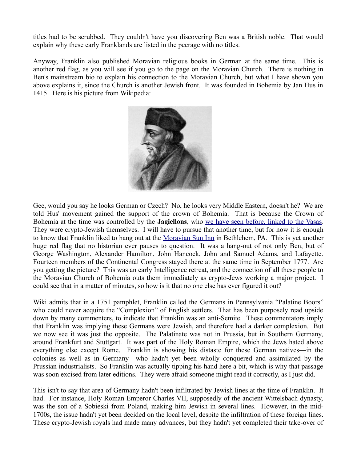titles had to be scrubbed. They couldn't have you discovering Ben was a British noble. That would explain why these early Franklands are listed in the peerage with no titles.

Anyway, Franklin also published Moravian religious books in German at the same time. This is another red flag, as you will see if you go to the page on the Moravian Church. There is nothing in Ben's mainstream bio to explain his connection to the Moravian Church, but what I have shown you above explains it, since the Church is another Jewish front. It was founded in Bohemia by Jan Hus in 1415. Here is his picture from Wikipedia:



Gee, would you say he looks German or Czech? No, he looks very Middle Eastern, doesn't he? We are told Hus' movement gained the support of the crown of Bohemia. That is because the Crown of Bohemia at the time was controlled by the **Jagiellons**, who [we have seen before, linked to the Vasas.](http://mileswmathis.com/napoleon.pdf) They were crypto-Jewish themselves. I will have to pursue that another time, but for now it is enough to know that Franklin liked to hang out at the [Moravian Sun Inn](https://en.wikipedia.org/wiki/Moravian_Sun_Inn) in Bethlehem, PA. This is yet another huge red flag that no historian ever pauses to question. It was a hang-out of not only Ben, but of George Washington, Alexander Hamilton, John Hancock, John and Samuel Adams, and Lafayette. Fourteen members of the Continental Congress stayed there at the same time in September 1777. Are you getting the picture? This was an early Intelligence retreat, and the connection of all these people to the Moravian Church of Bohemia outs them immediately as crypto-Jews working a major project. I could see that in a matter of minutes, so how is it that no one else has ever figured it out?

Wiki admits that in a 1751 pamphlet, Franklin called the Germans in Pennsylvania "Palatine Boors" who could never acquire the "Complexion" of English settlers. That has been purposely read upside down by many commenters, to indicate that Franklin was an anti-Semite. These commentators imply that Franklin was implying these Germans were Jewish, and therefore had a darker complexion. But we now see it was just the opposite. The Palatinate was not in Prussia, but in Southern Germany, around Frankfurt and Stuttgart. It was part of the Holy Roman Empire, which the Jews hated above everything else except Rome. Franklin is showing his distaste for these German natives—in the colonies as well as in Germany—who hadn't yet been wholly conquered and assimilated by the Prussian industrialists. So Franklin was actually tipping his hand here a bit, which is why that passage was soon excised from later editions. They were afraid someone might read it correctly, as I just did.

This isn't to say that area of Germany hadn't been infiltrated by Jewish lines at the time of Franklin. It had. For instance, Holy Roman Emperor Charles VII, supposedly of the ancient Wittelsbach dynasty, was the son of a Sobieski from Poland, making him Jewish in several lines. However, in the mid-1700s, the issue hadn't yet been decided on the local level, despite the infiltration of these foreign lines. These crypto-Jewish royals had made many advances, but they hadn't yet completed their take-over of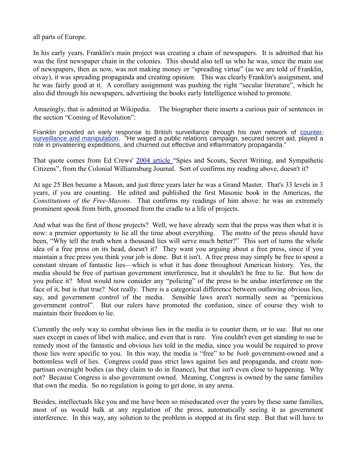all parts of Europe.

In his early years, Franklin's main project was creating a chain of newspapers. It is admitted that his was the first newspaper chain in the colonies. This should also tell us who he was, since the main use of newspapers, then as now, was not making money or "spreading virtue" (as we are told of Franklin, oivay), it was spreading propaganda and creating opinion. This was clearly Franklin's assignment, and he was fairly good at it. A corollary assignment was pushing the right "secular literature", which he also did through his newspapers, advertising the books early Intelligence wished to promote.

Amazingly, that is admitted at Wikipedia. The biographer there inserts a curious pair of sentences in the section "Coming of Revolution":

Franklin provided an early response to British surveillance through his own network of [counter](https://en.wikipedia.org/wiki/Surveillance_art)[surveillance and manipulation.](https://en.wikipedia.org/wiki/Surveillance_art) "He waged a public relations campaign, secured secret aid, played a role in privateering expeditions, and churned out effective and inflammatory propaganda."

That quote comes from Ed Crews' [2004 article "](http://www.history.org/foundation/journal/Summer04/spies.cfm)Spies and Scouts, Secret Writing, and Sympathetic Citizens", from the Colonial Williamsburg Journal. Sort of confirms my reading above, doesn't it?

At age 25 Ben became a Mason, and just three years later he was a Grand Master. That's 33 levels in 3 years, if you are counting. He edited and published the first Masonic book in the Americas, the *Constitutions of the Free-Masons*. That confirms my readings of him above: he was an extremely prominent spook from birth, groomed from the cradle to a life of projects.

And what was the first of those projects? Well, we have already seen that the press was then what it is now: a premier opportunity to lie all the time about everything. The motto of the press should have been, "Why tell the truth when a thousand lies will serve much better?" This sort of turns the whole idea of a free press on its head, doesn't it? They want you arguing about a free press, since if you maintain a free press you think your job is done. But it isn't. A free press may simply be free to spout a constant stream of fantastic lies—which is what it has done throughout American history. Yes, the media should be free of partisan government interference, but it shouldn't be free to lie. But how do you police it? Most would now consider any "policing" of the press to be undue interference on the face of it, but is that true? Not really. There is a categorical difference between outlawing obvious lies, say, and government control of the media. Sensible laws aren't normally seen as "pernicious government control". But our rulers have promoted the confusion, since of course they wish to maintain their freedom to lie.

Currently the only way to combat obvious lies in the media is to counter them, or to sue. But no one sues except in cases of libel with malice, and even that is rare. You couldn't even get standing to sue to remedy most of the fantastic and obvious lies told in the media, since you would be required to prove those lies were specific to you. In this way, the media is "free" to be *both* government-owned and a bottomless well of lies. Congress could pass strict laws against lies and propaganda, and create nonpartisan oversight bodies (as they claim to do in finance), but that isn't even close to happening. Why not? Because Congress is also government owned. Meaning, Congress is owned by the same families that own the media. So no regulation is going to get done, in any arena.

Besides, intellectuals like you and me have been so miseducated over the years by these same families, most of us would balk at any regulation of the press, automatically seeing it as government interference. In this way, any solution to the problem is stopped at its first step. But that will have to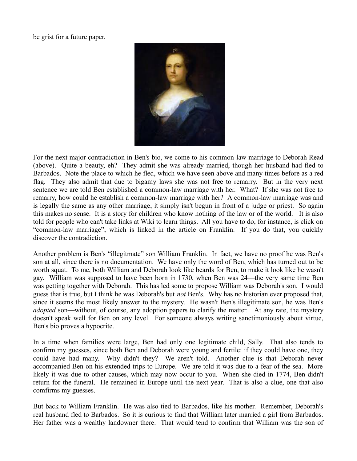be grist for a future paper.



For the next major contradiction in Ben's bio, we come to his common-law marriage to Deborah Read (above). Quite a beauty, eh? They admit she was already married, though her husband had fled to Barbados. Note the place to which he fled, which we have seen above and many times before as a red flag. They also admit that due to bigamy laws she was not free to remarry. But in the very next sentence we are told Ben established a common-law marriage with her. What? If she was not free to remarry, how could he establish a common-law marriage with her? A common-law marriage was and is legally the same as any other marriage, it simply isn't begun in front of a judge or priest. So again this makes no sense. It is a story for children who know nothing of the law or of the world. It is also told for people who can't take links at Wiki to learn things. All you have to do, for instance, is click on "common-law marriage", which is linked in the article on Franklin. If you do that, you quickly discover the contradiction.

Another problem is Ben's "illegitmate" son William Franklin. In fact, we have no proof he was Ben's son at all, since there is no documentation. We have only the word of Ben, which has turned out to be worth squat. To me, both William and Deborah look like beards for Ben, to make it look like he wasn't gay. William was supposed to have been born in 1730, when Ben was 24—the very same time Ben was getting together with Deborah. This has led some to propose William was Deborah's son. I would guess that is true, but I think he was Deborah's but *not* Ben's. Why has no historian ever proposed that, since it seems the most likely answer to the mystery. He wasn't Ben's illegitimate son, he was Ben's *adopted* son—without, of course, any adoption papers to clarify the matter. At any rate, the mystery doesn't speak well for Ben on any level. For someone always writing sanctimoniously about virtue, Ben's bio proves a hypocrite.

In a time when families were large, Ben had only one legitimate child, Sally. That also tends to confirm my guesses, since both Ben and Deborah were young and fertile: if they could have one, they could have had many. Why didn't they? We aren't told. Another clue is that Deborah never accompanied Ben on his extended trips to Europe. We are told it was due to a fear of the sea. More likely it was due to other causes, which may now occur to you. When she died in 1774, Ben didn't return for the funeral. He remained in Europe until the next year. That is also a clue, one that also comfirms my guesses.

But back to William Franklin. He was also tied to Barbados, like his mother. Remember, Deborah's real husband fled to Barbados. So it is curious to find that William later married a girl from Barbados. Her father was a wealthy landowner there. That would tend to confirm that William was the son of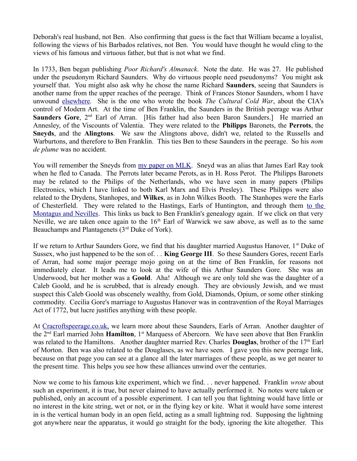Deborah's real husband, not Ben. Also confirming that guess is the fact that William became a loyalist, following the views of his Barbados relatives, not Ben. You would have thought he would cling to the views of his famous and virtuous father, but that is not what we find.

In 1733, Ben began publishing *Poor Richard's Almanack*. Note the date. He was 27. He published under the pseudonym Richard Saunders. Why do virtuous people need pseudonyms? You might ask yourself that. You might also ask why he chose the name Richard **Saunders**, seeing that Saunders is another name from the upper reaches of the peerage. Think of Frances Stonor Saunders, whom I have unwound [elsewhere.](http://mileswmathis/stoner.pdf) She is the one who wrote the book *The Cultural Cold War*, about the CIA's control of Modern Art. At the time of Ben Franklin, the Saunders in the British peerage was Arthur Saunders Gore, 2<sup>nd</sup> Earl of Arran. [His father had also been Baron Saunders.] He married an Annesley, of the Viscounts of Valentia. They were related to the **Philipps** Baronets, the **Perrots**, the **Sneyds**, and the **Alingtons**. We saw the Alingtons above, didn't we, related to the Russells and Warburtons, and therefore to Ben Franklin. This ties Ben to these Saunders in the peerage. So his *nom de plume* was no accident.

You will remember the Sneyds from [my paper on MLK.](http://mileswmathis.com/mlk.pdf) Sneyd was an alias that James Earl Ray took when he fled to Canada. The Perrots later became Perots, as in H. Ross Perot. The Philipps Baronets may be related to the Philips of the Netherlands, who we have seen in many papers (Philips Electronics, which I have linked to both Karl Marx and Elvis Presley). These Philipps were also related to the Drydens, Stanhopes, and **Wilkes**, as in John Wilkes Booth. The Stanhopes were the Earls of Chesterfield. They were related to the Hastings, Earls of Huntington, and through them [to the](http://thepeerage.com/p2465.htm#i24645) [Montagus and Nevilles.](http://thepeerage.com/p2465.htm#i24645) This links us back to Ben Franklin's genealogy again. If we click on that very Neville, we are taken once again to the 16<sup>th</sup> Earl of Warwick we saw above, as well as to the same Beauchamps and Plantagenets (3<sup>rd</sup> Duke of York).

If we return to Arthur Saunders Gore, we find that his daughter married Augustus Hanover,  $1<sup>st</sup>$  Duke of Sussex, who just happened to be the son of. . . **King George III**. So these Saunders Gores, recent Earls of Arran, had some major peerage mojo going on at the time of Ben Franklin, for reasons not immediately clear. It leads me to look at the wife of this Arthur Saunders Gore. She was an Underwood, but her mother was a **Goold**. Aha! Although we are only told she was the daughter of a Caleb Goold, and he is scrubbed, that is already enough. They are obviously Jewish, and we must suspect this Caleb Goold was obscenely wealthy, from Gold, Diamonds, Opium, or some other stinking commodity. Cecilia Gore's marriage to Augustus Hanover was in contravention of the Royal Marriages Act of 1772, but lucre justifies anything with these people.

At [Cracroftspeerage.co.uk,](http://www.cracroftspeerage.co.uk/online/content/arran1762.htm) we learn more about these Saunders, Earls of Arran. Another daughter of the 2nd Earl married John **Hamilton**, 1st Marquess of Abercorn. We have seen above that Ben Franklin was related to the Hamiltons. Another daughter married Rev. Charles **Douglas**, brother of the 17<sup>th</sup> Earl of Morton. Ben was also related to the Douglases, as we have seen. I gave you this new peerage link, because on that page you can see at a glance all the later marriages of these people, as we get nearer to the present time. This helps you see how these alliances unwind over the centuries.

Now we come to his famous kite experiment, which we find. . . never happened. Franklin *wrote* about such an experiment, it is true, but never claimed to have actually performed it. No notes were taken or published, only an account of a possible experiment. I can tell you that lightning would have little or no interest in the kite string, wet or not, or in the flying key or kite. What it would have some interest in is the vertical human body in an open field, acting as a small lightning rod. Supposing the lightning got anywhere near the apparatus, it would go straight for the body, ignoring the kite altogether. This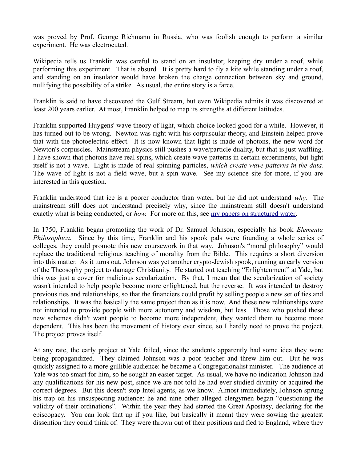was proved by Prof. George Richmann in Russia, who was foolish enough to perform a similar experiment. He was electrocuted.

Wikipedia tells us Franklin was careful to stand on an insulator, keeping dry under a roof, while performing this experiment. That is absurd. It is pretty hard to fly a kite while standing under a roof, and standing on an insulator would have broken the charge connection between sky and ground, nullifying the possibility of a strike. As usual, the entire story is a farce.

Franklin is said to have discovered the Gulf Stream, but even Wikipedia admits it was discovered at least 200 years earlier. At most, Franklin helped to map its strengths at different latitudes.

Franklin supported Huygens' wave theory of light, which choice looked good for a while. However, it has turned out to be wrong. Newton was right with his corpuscular theory, and Einstein helped prove that with the photoelectric effect. It is now known that light is made of photons, the new word for Newton's corpuscles. Mainstream physics still pushes a wave/particle duality, but that is just waffling. I have shown that photons have real spins, which create wave patterns in certain experiments, but light itself is not a wave. Light is made of real spinning particles, *which create wave patterns in the data*. The wave of light is not a field wave, but a spin wave. See my science site for more, if you are interested in this question.

Franklin understood that ice is a poorer conductor than water, but he did not understand *why*. The mainstream still does not understand precisely why, since the mainstream still doesn't understand exactly what is being conducted, or *how.* For more on this, see [my papers on structured water.](http://milesmathis.com/poll.pdf)

In 1750, Franklin began promoting the work of Dr. Samuel Johnson, especially his book *Elementa Philosophica.* Since by this time, Franklin and his spook pals were founding a whole series of colleges, they could promote this new coursework in that way. Johnson's "moral philosophy" would replace the traditional religious teaching of morality from the Bible. This requires a short diversion into this matter. As it turns out, Johnson was yet another crypto-Jewish spook, running an early version of the Theosophy project to damage Christianity. He started out teaching "Enlightenment" at Yale, but this was just a cover for malicious secularization. By that, I mean that the secularization of society wasn't intended to help people become more enlightened, but the reverse. It was intended to destroy previous ties and relationships, so that the financiers could profit by selling people a new set of ties and relationships. It was the basically the same project then as it is now. And these new relationships were not intended to provide people with more autonomy and wisdom, but less. Those who pushed these new schemes didn't want people to become more independent, they wanted them to become more dependent. This has been the movement of history ever since, so I hardly need to prove the project. The project proves itself.

At any rate, the early project at Yale failed, since the students apparently had some idea they were being propagandized. They claimed Johnson was a poor teacher and threw him out. But he was quickly assigned to a more gullible audience: he became a Congregationalist minister. The audience at Yale was too smart for him, so he sought an easier target. As usual, we have no indication Johnson had any qualifications for his new post, since we are not told he had ever studied divinity or acquired the correct degrees. But this doesn't stop Intel agents, as we know. Almost immediately, Johnson sprung his trap on his unsuspecting audience: he and nine other alleged clergymen began "questioning the validity of their ordinations". Within the year they had started the Great Apostasy, declaring for the episcopacy. You can look that up if you like, but basically it meant they were sowing the greatest dissention they could think of. They were thrown out of their positions and fled to England, where they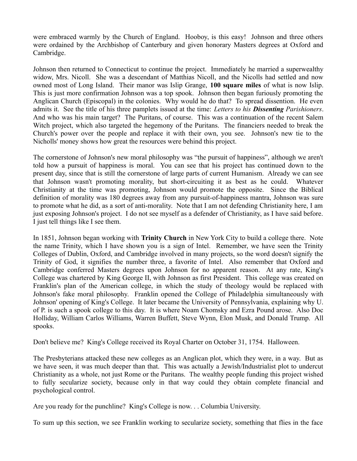were embraced warmly by the Church of England. Hooboy, is this easy! Johnson and three others were ordained by the Archbishop of Canterbury and given honorary Masters degrees at Oxford and Cambridge.

Johnson then returned to Connecticut to continue the project. Immediately he married a superwealthy widow, Mrs. Nicoll. She was a descendant of Matthias Nicoll, and the Nicolls had settled and now owned most of Long Island. Their manor was Islip Grange, **100 square miles** of what is now Islip. This is just more confirmation Johnson was a top spook. Johnson then began furiously promoting the Anglican Church (Episcopal) in the colonies. Why would he do that? To spread dissention. He even admits it. See the title of his three pamplets issued at the time: *Letters to his Dissenting Parishioners*. And who was his main target? The Puritans, of course. This was a continuation of the recent Salem Witch project, which also targeted the hegemony of the Puritans. The financiers needed to break the Church's power over the people and replace it with their own, you see. Johnson's new tie to the Nicholls' money shows how great the resources were behind this project.

The cornerstone of Johnson's new moral philosophy was "the pursuit of happiness", although we aren't told how a pursuit of happiness is moral. You can see that his project has continued down to the present day, since that is still the cornerstone of large parts of current Humanism. Already we can see that Johnson wasn't promoting morality, but short-circuiting it as best as he could. Whatever Christianity at the time was promoting, Johnson would promote the opposite. Since the Biblical definition of morality was 180 degrees away from any pursuit-of-happiness mantra, Johnson was sure to promote what he did, as a sort of anti-morality. Note that I am not defending Christianity here, I am just exposing Johnson's project. I do not see myself as a defender of Christianity, as I have said before. I just tell things like I see them.

In 1851, Johnson began working with **Trinity Church** in New York City to build a college there. Note the name Trinity, which I have shown you is a sign of Intel. Remember, we have seen the Trinity Colleges of Dublin, Oxford, and Cambridge involved in many projects, so the word doesn't signify the Trinity of God, it signifies the number three, a favorite of Intel. Also remember that Oxford and Cambridge conferred Masters degrees upon Johnson for no apparent reason. At any rate, King's College was chartered by King George II, with Johnson as first President. This college was created on Franklin's plan of the American college, in which the study of theology would be replaced with Johnson's fake moral philosophy. Franklin opened the College of Philadelphia simultaneously with Johnson' opening of King's College. It later became the University of Pennsylvania, explaining why U. of P. is such a spook college to this day. It is where Noam Chomsky and Ezra Pound arose. Also Doc Holliday, William Carlos Williams, Warren Buffett, Steve Wynn, Elon Musk, and Donald Trump. All spooks.

Don't believe me? King's College received its Royal Charter on October 31, 1754. Halloween.

The Presbyterians attacked these new colleges as an Anglican plot, which they were, in a way. But as we have seen, it was much deeper than that. This was actually a Jewish/Industrialist plot to undercut Christianity as a whole, not just Rome or the Puritans. The wealthy people funding this project wished to fully secularize society, because only in that way could they obtain complete financial and psychological control.

Are you ready for the punchline? King's College is now. . . Columbia University.

To sum up this section, we see Franklin working to secularize society, something that flies in the face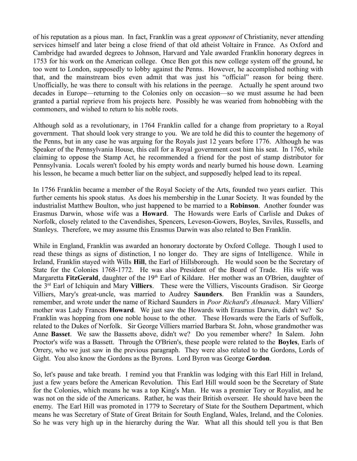of his reputation as a pious man. In fact, Franklin was a great *opponent* of Christianity, never attending services himself and later being a close friend of that old atheist Voltaire in France. As Oxford and Cambridge had awarded degrees to Johnson, Harvard and Yale awarded Franklin honorary degrees in 1753 for his work on the American college. Once Ben got this new college system off the ground, he too went to London, supposedly to lobby against the Penns. However, he accomplished nothing with that, and the mainstream bios even admit that was just his "official" reason for being there. Unofficially, he was there to consult with his relations in the peerage. Actually he spent around two decades in Europe—returning to the Colonies only on occasion—so we must assume he had been granted a partial reprieve from his projects here. Possibly he was wearied from hobnobbing with the commoners, and wished to return to his noble roots.

Although sold as a revolutionary, in 1764 Franklin called for a change from proprietary to a Royal government. That should look very strange to you. We are told he did this to counter the hegemony of the Penns, but in any case he was arguing for the Royals just 12 years before 1776. Although he was Speaker of the Pennsylvania House, this call for a Royal government cost him his seat. In 1765, while claiming to oppose the Stamp Act, he recommended a friend for the post of stamp distributor for Pennsylvania. Locals weren't fooled by his empty words and nearly burned his house down. Learning his lesson, he became a much better liar on the subject, and supposedly helped lead to its repeal.

In 1756 Franklin became a member of the Royal Society of the Arts, founded two years earlier. This further cements his spook status. As does his membership in the Lunar Society. It was founded by the industrialist Matthew Boulton, who just happened to be married to a **Robinson**. Another founder was Erasmus Darwin, whose wife was a **Howard**. The Howards were Earls of Carlisle and Dukes of Norfolk, closely related to the Cavendishes, Spencers, Leveson-Gowers, Boyles, Saviles, Russells, and Stanleys. Therefore, we may assume this Erasmus Darwin was also related to Ben Franklin.

While in England, Franklin was awarded an honorary doctorate by Oxford College. Though I used to read these things as signs of distinction, I no longer do. They are signs of Intelligence. While in Ireland, Franklin stayed with Wills **Hill**, the Earl of Hillsborough. He would soon be the Secretary of State for the Colonies 1768-1772. He was also President of the Board of Trade. His wife was Margaretta **FitzGerald**, daughter of the 19<sup>th</sup> Earl of Kildare. Her mother was an O'Brien, daughter of the 3rd Earl of Ichiquin and Mary **Villiers**. These were the Villiers, Viscounts Gradison. Sir George Villiers, Mary's great-uncle, was married to Audrey **Saunders**. Ben Franklin was a Saunders, remember, and wrote under the name of Richard Saunders in *Poor Richard's Almanack*. Mary Villiers' mother was Lady Frances **Howard**. We just saw the Howards with Erasmus Darwin, didn't we? So Franklin was hopping from one noble house to the other. These Howards were the Earls of Suffolk, related to the Dukes of Norfolk. Sir George Villiers married Barbara St. John, whose grandmother was Anne **Basset**. We saw the Bassetts above, didn't we? Do you remember where? In Salem. John Proctor's wife was a Bassett. Through the O'Brien's, these people were related to the **Boyles**, Earls of Orrery, who we just saw in the previous paragraph. They were also related to the Gordons, Lords of Gight. You also know the Gordons as the Byrons. Lord Byron was George **Gordon**.

So, let's pause and take breath. I remind you that Franklin was lodging with this Earl Hill in Ireland, just a few years before the American Revolution. This Earl Hill would soon be the Secretary of State for the Colonies, which means he was a top King's Man. He was a premier Tory or Royalist, and he was not on the side of the Americans. Rather, he was their British overseer. He should have been the enemy. The Earl Hill was promoted in 1779 to Secretary of State for the Southern Department, which means he was Secretary of State of Great Britain for South England, Wales, Ireland, and the Colonies. So he was very high up in the hierarchy during the War. What all this should tell you is that Ben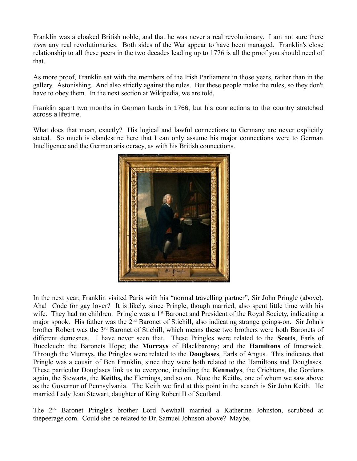Franklin was a cloaked British noble, and that he was never a real revolutionary. I am not sure there *were* any real revolutionaries. Both sides of the War appear to have been managed. Franklin's close relationship to all these peers in the two decades leading up to 1776 is all the proof you should need of that.

As more proof, Franklin sat with the members of the Irish Parliament in those years, rather than in the gallery. Astonishing. And also strictly against the rules. But these people make the rules, so they don't have to obey them. In the next section at Wikipedia, we are told,

Franklin spent two months in German lands in 1766, but his connections to the country stretched across a lifetime.

What does that mean, exactly? His logical and lawful connections to Germany are never explicitly stated. So much is clandestine here that I can only assume his major connections were to German Intelligence and the German aristocracy, as with his British connections.



In the next year, Franklin visited Paris with his "normal travelling partner", Sir John Pringle (above). Aha! Code for gay lover? It is likely, since Pringle, though married, also spent little time with his wife. They had no children. Pringle was a 1<sup>st</sup> Baronet and President of the Royal Society, indicating a major spook. His father was the 2<sup>nd</sup> Baronet of Stichill, also indicating strange goings-on. Sir John's brother Robert was the 3<sup>rd</sup> Baronet of Stichill, which means these two brothers were both Baronets of different demesnes. I have never seen that. These Pringles were related to the **Scotts**, Earls of Buccleuch; the Baronets Hope; the **Murrays** of Blackbarony; and the **Hamiltons** of Innerwick. Through the Murrays, the Pringles were related to the **Douglases**, Earls of Angus. This indicates that Pringle was a cousin of Ben Franklin, since they were both related to the Hamiltons and Douglases. These particular Douglases link us to everyone, including the **Kennedys**, the Crichtons, the Gordons again, the Stewarts, the **Keiths,** the Flemings, and so on. Note the Keiths, one of whom we saw above as the Governor of Pennsylvania. The Keith we find at this point in the search is Sir John Keith. He married Lady Jean Stewart, daughter of King Robert II of Scotland.

The 2nd Baronet Pringle's brother Lord Newhall married a Katherine Johnston, scrubbed at thepeerage.com. Could she be related to Dr. Samuel Johnson above? Maybe.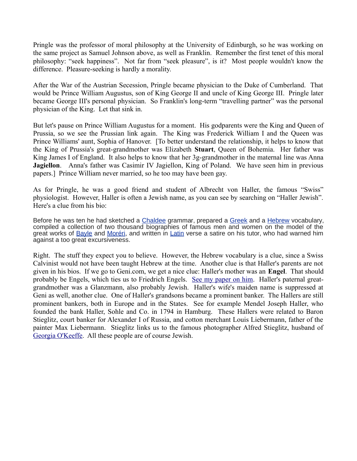Pringle was the professor of moral philosophy at the University of Edinburgh, so he was working on the same project as Samuel Johnson above, as well as Franklin. Remember the first tenet of this moral philosophy: "seek happiness". Not far from "seek pleasure", is it? Most people wouldn't know the difference. Pleasure-seeking is hardly a morality.

After the War of the Austrian Secession, Pringle became physician to the Duke of Cumberland. That would be Prince William Augustus, son of King George II and uncle of King George III. Pringle later became George III's personal physician. So Franklin's long-term "travelling partner" was the personal physician of the King. Let that sink in.

But let's pause on Prince William Augustus for a moment. His godparents were the King and Queen of Prussia, so we see the Prussian link again. The King was Frederick William I and the Queen was Prince Williams' aunt, Sophia of Hanover. [To better understand the relationship, it helps to know that the King of Prussia's great-grandmother was Elizabeth **Stuart**, Queen of Bohemia. Her father was King James I of England. It also helps to know that her 3g-grandmother in the maternal line was Anna **Jagiellon**. Anna's father was Casimir IV Jagiellon, King of Poland. We have seen him in previous papers.] Prince William never married, so he too may have been gay.

As for Pringle, he was a good friend and student of Albrecht von Haller, the famous "Swiss" physiologist. However, Haller is often a Jewish name, as you can see by searching on "Haller Jewish". Here's a clue from his bio:

Before he was ten he had sketched a [Chaldee](https://en.wikipedia.org/wiki/Chaldee) grammar, prepared a [Greek](https://en.wikipedia.org/wiki/Koine_Greek) and a [Hebrew](https://en.wikipedia.org/wiki/Hebrew_language) vocabulary, compiled a collection of two thousand biographies of famous men and women on the model of the great works of **Bayle and Moréri**, and written in *Latin* verse a satire on his tutor, who had warned him against a too great excursiveness.

Right. The stuff they expect you to believe. However, the Hebrew vocabulary is a clue, since a Swiss Calvinist would not have been taught Hebrew at the time. Another clue is that Haller's parents are not given in his bios. If we go to Geni.com, we get a nice clue: Haller's mother was an **Engel**. That should probably be Engels, which ties us to Friedrich Engels. [See my paper on him.](http://mileswmathis.com/engels.pdf) Haller's paternal greatgrandmother was a Glanzmann, also probably Jewish. Haller's wife's maiden name is suppressed at Geni as well, another clue. One of Haller's grandsons became a prominent banker. The Hallers are still prominent bankers, both in Europe and in the States. See for example Mendel Joseph Haller, who founded the bank Haller, Sohle and Co. in 1794 in Hamburg. These Hallers were related to Baron Stieglitz, court banker for Alexander I of Russia, and cotton merchant Louis Liebermann, father of the painter Max Liebermann. Stieglitz links us to the famous photographer Alfred Stieglitz, husband of [Georgia O'Keeffe.](http://mileswmathis.com/mabel.pdf) All these people are of course Jewish.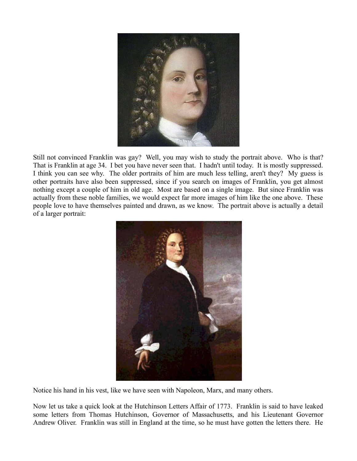

Still not convinced Franklin was gay? Well, you may wish to study the portrait above. Who is that? That is Franklin at age 34. I bet you have never seen that. I hadn't until today. It is mostly suppressed. I think you can see why. The older portraits of him are much less telling, aren't they? My guess is other portraits have also been suppressed, since if you search on images of Franklin, you get almost nothing except a couple of him in old age. Most are based on a single image. But since Franklin was actually from these noble families, we would expect far more images of him like the one above. These people love to have themselves painted and drawn, as we know. The portrait above is actually a detail of a larger portrait:



Notice his hand in his vest, like we have seen with Napoleon, Marx, and many others.

Now let us take a quick look at the Hutchinson Letters Affair of 1773. Franklin is said to have leaked some letters from Thomas Hutchinson, Governor of Massachusetts, and his Lieutenant Governor Andrew Oliver. Franklin was still in England at the time, so he must have gotten the letters there. He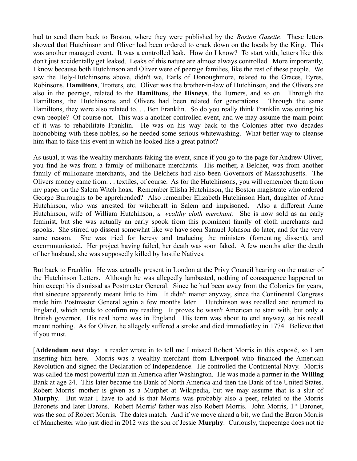had to send them back to Boston, where they were published by the *Boston Gazette*. These letters showed that Hutchinson and Oliver had been ordered to crack down on the locals by the King. This was another managed event. It was a controlled leak. How do I know? To start with, letters like this don't just accidentally get leaked. Leaks of this nature are almost always controlled. More importantly, I know because both Hutchinson and Oliver were of peerage families, like the rest of these people. We saw the Hely-Hutchinsons above, didn't we, Earls of Donoughmore, related to the Graces, Eyres, Robinsons, **Hamiltons**, Trotters, etc. Oliver was the brother-in-law of Hutchinson, and the Olivers are also in the peerage, related to the **Hamiltons**, the **Disneys**, the Turners, and so on. Through the Hamiltons, the Hutchinsons and Olivers had been related for generations. Through the same Hamiltons, they were also related to. . . Ben Franklin. So do you really think Franklin was outing his own people? Of course not. This was a another controlled event, and we may assume the main point of it was to rehabilitate Franklin. He was on his way back to the Colonies after two decades hobnobbing with these nobles, so he needed some serious whitewashing. What better way to cleanse him than to fake this event in which he looked like a great patriot?

As usual, it was the wealthy merchants faking the event, since if you go to the page for Andrew Oliver, you find he was from a family of millionaire merchants. His mother, a Belcher, was from another family of millionaire merchants, and the Belchers had also been Governors of Massachusetts. The Olivers money came from. . . textiles, of course. As for the Hutchinsons, you will remember them from my paper on the Salem Witch hoax. Remember Elisha Hutchinson, the Boston magistrate who ordered George Burroughs to be apprehended? Also remember Elizabeth Hutchinson Hart, daughter of Anne Hutchinson, who was arrested for witchcraft in Salem and imprisoned. Also a different Anne Hutchinson, wife of William Hutchinson, *a wealthy cloth merchant*. She is now sold as an early feminist, but she was actually an early spook from this prominent family of cloth merchants and spooks. She stirred up dissent somewhat like we have seen Samuel Johnson do later, and for the very same reason. She was tried for heresy and traducing the ministers (fomenting dissent), and excommunicated. Her project having failed, her death was soon faked. A few months after the death of her husband, she was supposedly killed by hostile Natives.

But back to Franklin. He was actually present in London at the Privy Council hearing on the matter of the Hutchinson Letters. Although he was allegedly lambasted, nothing of consequence happened to him except his dismissal as Postmaster General. Since he had been away from the Colonies for years, that sinecure apparently meant little to him. It didn't matter anyway, since the Continental Congress made him Postmaster General again a few months later. Hutchinson was recalled and returned to England, which tends to confirm my reading. It proves he wasn't American to start with, but only a British governor. His real home was in England. His term was about to end anyway, so his recall meant nothing. As for Oliver, he allegely suffered a stroke and died immediatley in 1774. Believe that if you must.

[**Addendum next day**: a reader wrote in to tell me I missed Robert Morris in this exposé, so I am inserting him here. Morris was a wealthy merchant from **Liverpool** who financed the American Revolution and signed the Declaration of Independence. He controlled the Continental Navy. Morris was called the most powerful man in America after Washington. He was made a partner in the **Willing** Bank at age 24. This later became the Bank of North America and then the Bank of the United States. Robert Morris' mother is given as a Murphet at Wikipedia, but we may assume that is a slur of **Murphy**. But what I have to add is that Morris was probably also a peer, related to the Morris Baronets and later Barons. Robert Morris' father was also Robert Morris. John Morris, 1<sup>st</sup> Baronet, was the son of Robert Morris. The dates match. And if we move ahead a bit, we find the Baron Morris of Manchester who just died in 2012 was the son of Jessie **Murphy**. Curiously, thepeerage does not tie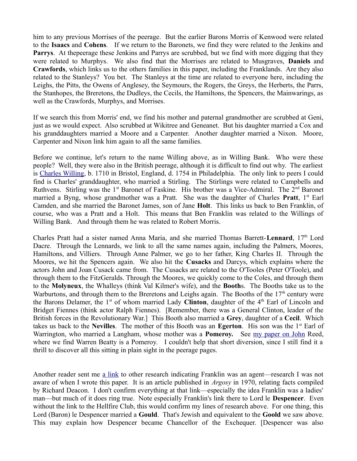him to any previous Morrises of the peerage. But the earlier Barons Morris of Kenwood were related to the **Isaacs** and **Cohens**. If we return to the Baronets, we find they were related to the Jenkins and Parrys. At thepeerage these Jenkins and Parrys are scrubbed, but we find with more digging that they were related to Murphys. We also find that the Morrises are related to Musgraves, **Daniels** and **Crawfords**, which links us to the others families in this paper, including the Franklands. Are they also related to the Stanleys? You bet. The Stanleys at the time are related to everyone here, including the Leighs, the Pitts, the Owens of Anglesey, the Seymours, the Rogers, the Greys, the Herberts, the Parrs, the Stanhopes, the Breretons, the Dudleys, the Cecils, the Hamiltons, the Spencers, the Mainwarings, as well as the Crawfords, Murphys, and Morrises.

If we search this from Morris' end, we find his mother and paternal grandmother are scrubbed at Geni, just as we would expect. Also scrubbed at Wikitree and Geneanet. But his daughter married a Cox and his granddaughters married a Moore and a Carpenter. Another daughter married a Nixon. Moore, Carpenter and Nixon link him again to all the same families.

Before we continue, let's return to the name Willing above, as in Willing Bank. Who were these people? Well, they were also in the British peerage, although it is difficult to find out why. The earliest is [Charles Willing,](http://thepeerage.com/p58447.htm#i584470) b. 1710 in Bristol, England, d. 1754 in Philadelphia. The only link to peers I could find is Charles' granddaughter, who married a Stirling. The Stirlings were related to Campbells and Ruthvens. Stirling was the  $1<sup>st</sup>$  Baronet of Faskine. His brother was a Vice-Admiral. The  $2<sup>nd</sup>$  Baronet married a Byng, whose grandmother was a Pratt. She was the daughter of Charles **Pratt**, 1<sup>st</sup> Earl Camden, and she married the Baronet James, son of Jane **Holt**. This links us back to Ben Franklin, of course, who was a Pratt and a Holt. This means that Ben Franklin was related to the Willings of Willing Bank. And through them he was related to Robert Morris.

Charles Pratt had a sister named Anna Maria, and she married Thomas Barrett-**Lennard**, 17th Lord Dacre. Through the Lennards, we link to all the same names again, including the Palmers, Moores, Hamiltons, and Villiers. Through Anne Palmer, we go to her father, King Charles II. Through the Moores, we hit the Spencers again. We also hit the **Cusacks** and Darcys, which explains where the actors John and Joan Cusack came from. The Cusacks are related to the O'Tooles (Peter O'Toole), and through them to the FitzGeralds. Through the Moores, we quickly come to the Coles, and through them to the **Molyneux**, the Whalleys (think Val Kilmer's wife), and the **Booth**s. The Booths take us to the Warburtons, and through them to the Breretons and Leighs again. The Booths of the  $17<sup>th</sup>$  century were the Barons Delamer, the 1<sup>st</sup> of whom married Lady **Clinton**, daughter of the 4<sup>th</sup> Earl of Lincoln and Bridget Fiennes (think actor Ralph Fiennes). [Remember, there was a General Clinton, leader of the British forces in the Revolutionary War.] This Booth also married a **Grey**, daughter of a **Cecil**. Which takes us back to the **Nevilles**. The mother of this Booth was an **Egerton**. His son was the 1st Earl of Warrington, who married a Langham, whose mother was a **Pomeroy.** See [my paper on John](http://mileswmathis.com/reed.pdf) Reed, where we find Warren Beatty is a Pomeroy. I couldn't help that short diversion, since I still find it a thrill to discover all this sitting in plain sight in the peerage pages.

Another reader sent me [a link](https://msuweb.montclair.edu/~furrg/fc/deacononfranklin.html) to other research indicating Franklin was an agent—research I was not aware of when I wrote this paper. It is an article published in *Argosy* in 1970, relating facts compiled by Richard Deacon. I don't confirm everything at that link—especially the idea Franklin was a ladies' man—but much of it does ring true. Note especially Franklin's link there to Lord le **Despencer**. Even without the link to the Hellfire Club, this would confirm my lines of research above. For one thing, this Lord (Baron) le Despencer married a **Gould**. That's Jewish and equivalent to the **Goold** we saw above. This may explain how Despencer became Chancellor of the Exchequer. [Despencer was also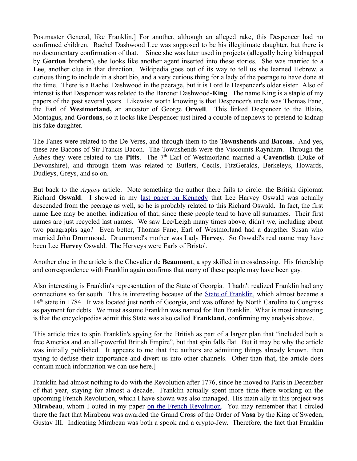Postmaster General, like Franklin.] For another, although an alleged rake, this Despencer had no confirmed children. Rachel Dashwood Lee was supposed to be his illegitimate daughter, but there is no documentary confirmation of that. Since she was later used in projects (allegedly being kidnapped by **Gordon** brothers), she looks like another agent inserted into these stories. She was married to a Lee, another clue in that direction. Wikipedia goes out of its way to tell us she learned Hebrew, a curious thing to include in a short bio, and a very curious thing for a lady of the peerage to have done at the time. There is a Rachel Dashwood in the peerage, but it is Lord le Despencer's older sister. Also of interest is that Despencer was related to the Baronet Dashwood-**King**. The name King is a staple of my papers of the past several years. Likewise worth knowing is that Despencer's uncle was Thomas Fane, the Earl of **Westmorland,** an ancestor of George **Orwell**. This linked Despencer to the Blairs, Montagus, and **Gordons**, so it looks like Despencer just hired a couple of nephews to pretend to kidnap his fake daughter.

The Fanes were related to the De Veres, and through them to the **Townshends** and **Bacons**. And yes, these are Bacons of Sir Francis Bacon. The Townshends were the Viscounts Raynham. Through the Ashes they were related to the **Pitts**. The 7th Earl of Westmorland married a **Cavendish** (Duke of Devonshire), and through them was related to Butlers, Cecils, FitzGeralds, Berkeleys, Howards, Dudleys, Greys, and so on.

But back to the *Argosy* article. Note something the author there fails to circle: the British diplomat Richard **Oswald**. I showed in my [last paper on Kennedy](http://mileswmathis.com/jfkgay.pdf) that Lee Harvey Oswald was actually descended from the peerage as well, so he is probably related to this Richard Oswald. In fact, the first name **Lee** may be another indication of that, since these people tend to have all surnames. Their first names are just recycled last names. We saw Lee/Leigh many times above, didn't we, including about two paragraphs ago? Even better, Thomas Fane, Earl of Westmorland had a daugther Susan who married John Drummond. Drummond's mother was Lady **Hervey**. So Oswald's real name may have been Lee **Hervey** Oswald. The Herveys were Earls of Bristol.

Another clue in the article is the Chevalier de **Beaumont**, a spy skilled in crossdressing. His friendship and correspondence with Franklin again confirms that many of these people may have been gay.

Also interesting is Franklin's representation of the State of Georgia. I hadn't realized Franklin had any connections so far south. This is interesting because of the [State of Franklin,](https://en.wikipedia.org/wiki/State_of_Franklin) which almost became a 14<sup>th</sup> state in 1784. It was located just north of Georgia, and was offered by North Carolina to Congress as payment for debts. We must assume Franklin was named for Ben Franklin. What is most interesting is that the encyclopedias admit this State was also called **Frankland,** confirming my analysis above.

This article tries to spin Franklin's spying for the British as part of a larger plan that "included both a free America and an all-powerful British Empire", but that spin falls flat. But it may be why the article was initially published. It appears to me that the authors are admitting things already known, then trying to defuse their importance and divert us into other channels. Other than that, the article does contain much information we can use here.]

Franklin had almost nothing to do with the Revolution after 1776, since he moved to Paris in December of that year, staying for almost a decade. Franklin actually spent more time there working on the upcoming French Revolution, which I have shown was also managed. His main ally in this project was **Mirabeau**, whom I outed in my paper [on the French Revolution.](http://mileswmathis.com/frev.pdf) You may remember that I circled there the fact that Mirabeau was awarded the Grand Cross of the Order of **Vasa** by the King of Sweden, Gustav III. Indicating Mirabeau was both a spook and a crypto-Jew. Therefore, the fact that Franklin